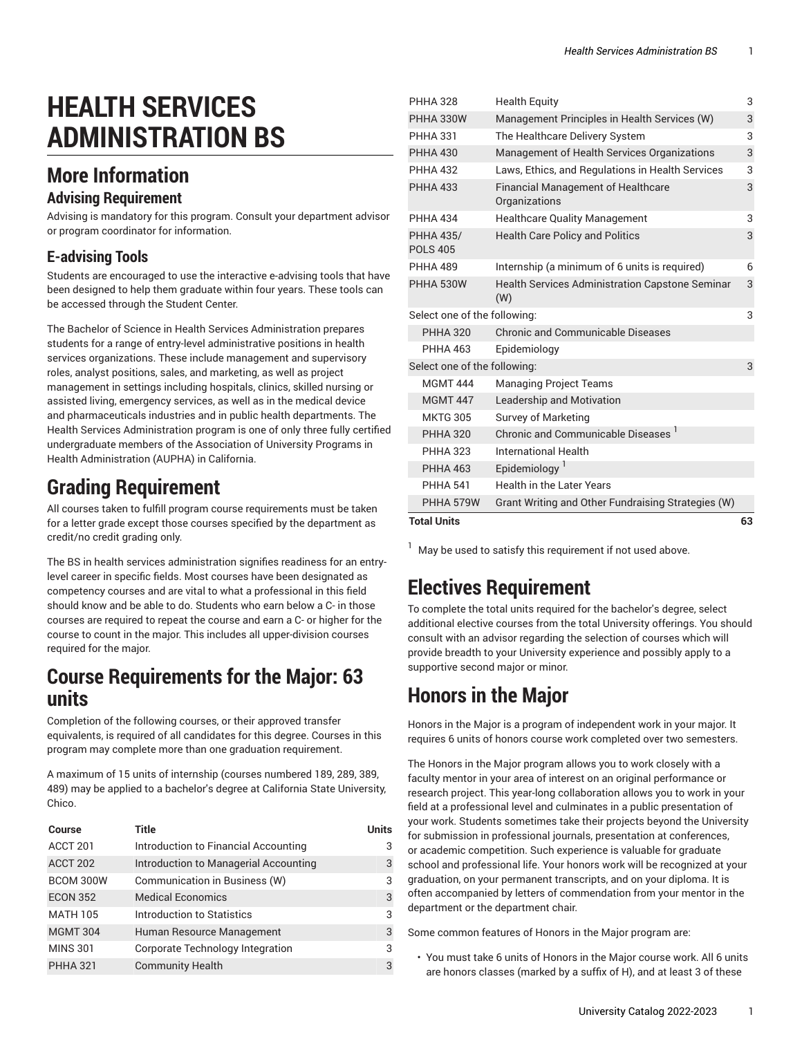# **HEALTH SERVICES ADMINISTRATION BS**

## **More Information**

#### **Advising Requirement**

Advising is mandatory for this program. Consult your department advisor or program coordinator for information.

#### **E-advising Tools**

Students are encouraged to use the interactive e-advising tools that have been designed to help them graduate within four years. These tools can be accessed through the Student Center.

The Bachelor of Science in Health Services Administration prepares students for a range of entry-level administrative positions in health services organizations. These include management and supervisory roles, analyst positions, sales, and marketing, as well as project management in settings including hospitals, clinics, skilled nursing or assisted living, emergency services, as well as in the medical device and pharmaceuticals industries and in public health departments. The Health Services Administration program is one of only three fully certified undergraduate members of the Association of University Programs in Health Administration (AUPHA) in California.

#### **Grading Requirement**

All courses taken to fulfill program course requirements must be taken for a letter grade except those courses specified by the department as credit/no credit grading only.

The BS in health services administration signifies readiness for an entrylevel career in specific fields. Most courses have been designated as competency courses and are vital to what a professional in this field should know and be able to do. Students who earn below a C- in those courses are required to repeat the course and earn a C- or higher for the course to count in the major. This includes all upper-division courses required for the major.

#### **Course Requirements for the Major: 63 units**

Completion of the following courses, or their approved transfer equivalents, is required of all candidates for this degree. Courses in this program may complete more than one graduation requirement.

A maximum of 15 units of internship (courses numbered 189, 289, 389, 489) may be applied to a bachelor's degree at California State University, Chico.

| <b>Course</b>       | Title                                   | <b>Units</b> |
|---------------------|-----------------------------------------|--------------|
| ACCT <sub>201</sub> | Introduction to Financial Accounting    | 3            |
| ACCT 202            | Introduction to Managerial Accounting   | 3            |
| BCOM 300W           | Communication in Business (W)           | 3            |
| <b>ECON 352</b>     | <b>Medical Economics</b>                | 3            |
| <b>MATH 105</b>     | Introduction to Statistics              | 3            |
| <b>MGMT 304</b>     | Human Resource Management               | 3            |
| <b>MINS 301</b>     | <b>Corporate Technology Integration</b> | 3            |
| <b>PHHA 321</b>     | <b>Community Health</b>                 | 3            |

| <b>Total Units</b>                  |                                                               | 63 |
|-------------------------------------|---------------------------------------------------------------|----|
| PHHA 579W                           | Grant Writing and Other Fundraising Strategies (W)            |    |
| <b>PHHA 541</b>                     | Health in the Later Years                                     |    |
| <b>PHHA 463</b>                     | Epidemiology <sup>1</sup>                                     |    |
| <b>PHHA 323</b>                     | International Health                                          |    |
| <b>PHHA 320</b>                     | <b>Chronic and Communicable Diseases</b>                      |    |
| <b>MKTG 305</b>                     | <b>Survey of Marketing</b>                                    |    |
| <b>MGMT 447</b>                     | Leadership and Motivation                                     |    |
| <b>MGMT 444</b>                     | <b>Managing Project Teams</b>                                 |    |
| Select one of the following:        |                                                               |    |
| <b>PHHA 463</b>                     | Epidemiology                                                  |    |
| <b>PHHA 320</b>                     | <b>Chronic and Communicable Diseases</b>                      |    |
| Select one of the following:        |                                                               | 3  |
| PHHA 530W                           | <b>Health Services Administration Capstone Seminar</b><br>(W) | 3  |
| <b>PHHA 489</b>                     | Internship (a minimum of 6 units is required)                 | 6  |
| <b>PHHA 435/</b><br><b>POLS 405</b> | <b>Health Care Policy and Politics</b>                        | 3  |
| <b>PHHA 434</b>                     | <b>Healthcare Quality Management</b>                          | 3  |
| <b>PHHA 433</b>                     | <b>Financial Management of Healthcare</b><br>Organizations    | 3  |
| <b>PHHA 432</b>                     | Laws, Ethics, and Regulations in Health Services              | 3  |
| <b>PHHA 430</b>                     | Management of Health Services Organizations                   | 3  |
| <b>PHHA 331</b>                     | The Healthcare Delivery System                                | 3  |
| PHHA 330W                           | Management Principles in Health Services (W)                  | 3  |
| <b>PHHA 328</b>                     | <b>Health Equity</b><br>3                                     |    |

 $^{-1}$  May be used to satisfy this requirement if not used above.

## **Electives Requirement**

To complete the total units required for the bachelor's degree, select additional elective courses from the total University offerings. You should consult with an advisor regarding the selection of courses which will provide breadth to your University experience and possibly apply to a supportive second major or minor.

## **Honors in the Major**

Honors in the Major is a program of independent work in your major. It requires 6 units of honors course work completed over two semesters.

The Honors in the Major program allows you to work closely with a faculty mentor in your area of interest on an original performance or research project. This year-long collaboration allows you to work in your field at a professional level and culminates in a public presentation of your work. Students sometimes take their projects beyond the University for submission in professional journals, presentation at conferences, or academic competition. Such experience is valuable for graduate school and professional life. Your honors work will be recognized at your graduation, on your permanent transcripts, and on your diploma. It is often accompanied by letters of commendation from your mentor in the department or the department chair.

Some common features of Honors in the Major program are:

• You must take 6 units of Honors in the Major course work. All 6 units are honors classes (marked by a suffix of H), and at least 3 of these